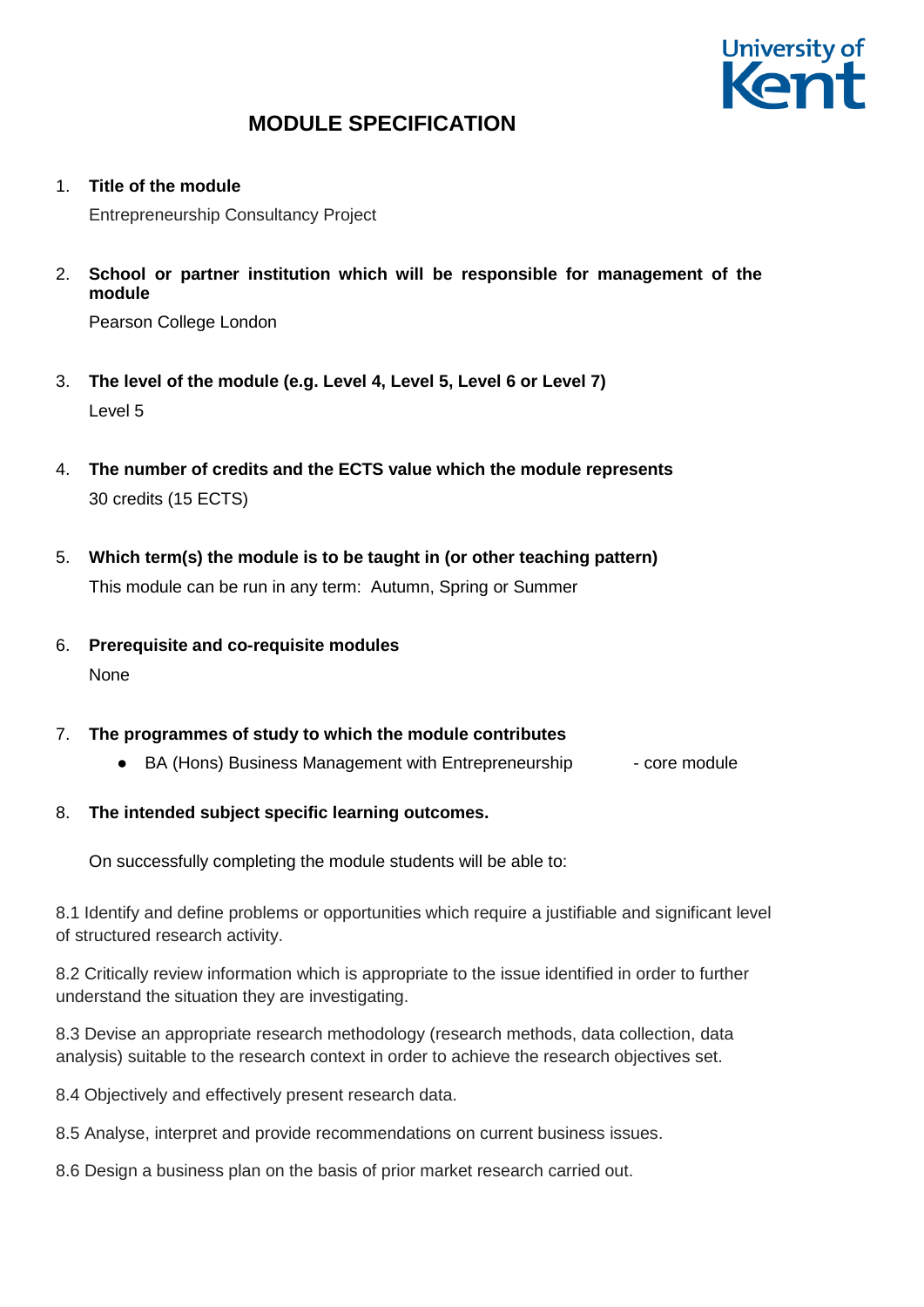

1. **Title of the module**

Entrepreneurship Consultancy Project

2. **School or partner institution which will be responsible for management of the module**

Pearson College London

- 3. **The level of the module (e.g. Level 4, Level 5, Level 6 or Level 7)** Level 5
- 4. **The number of credits and the ECTS value which the module represents**  30 credits (15 ECTS)
- 5. **Which term(s) the module is to be taught in (or other teaching pattern)** This module can be run in any term: Autumn, Spring or Summer
- 6. **Prerequisite and co-requisite modules None**

## 7. **The programmes of study to which the module contributes**

• BA (Hons) Business Management with Entrepreneurship - core module

## 8. **The intended subject specific learning outcomes.**

On successfully completing the module students will be able to:

8.1 Identify and define problems or opportunities which require a justifiable and significant level of structured research activity.

8.2 Critically review information which is appropriate to the issue identified in order to further understand the situation they are investigating.

8.3 Devise an appropriate research methodology (research methods, data collection, data analysis) suitable to the research context in order to achieve the research objectives set.

8.4 Objectively and effectively present research data.

8.5 Analyse, interpret and provide recommendations on current business issues.

8.6 Design a business plan on the basis of prior market research carried out.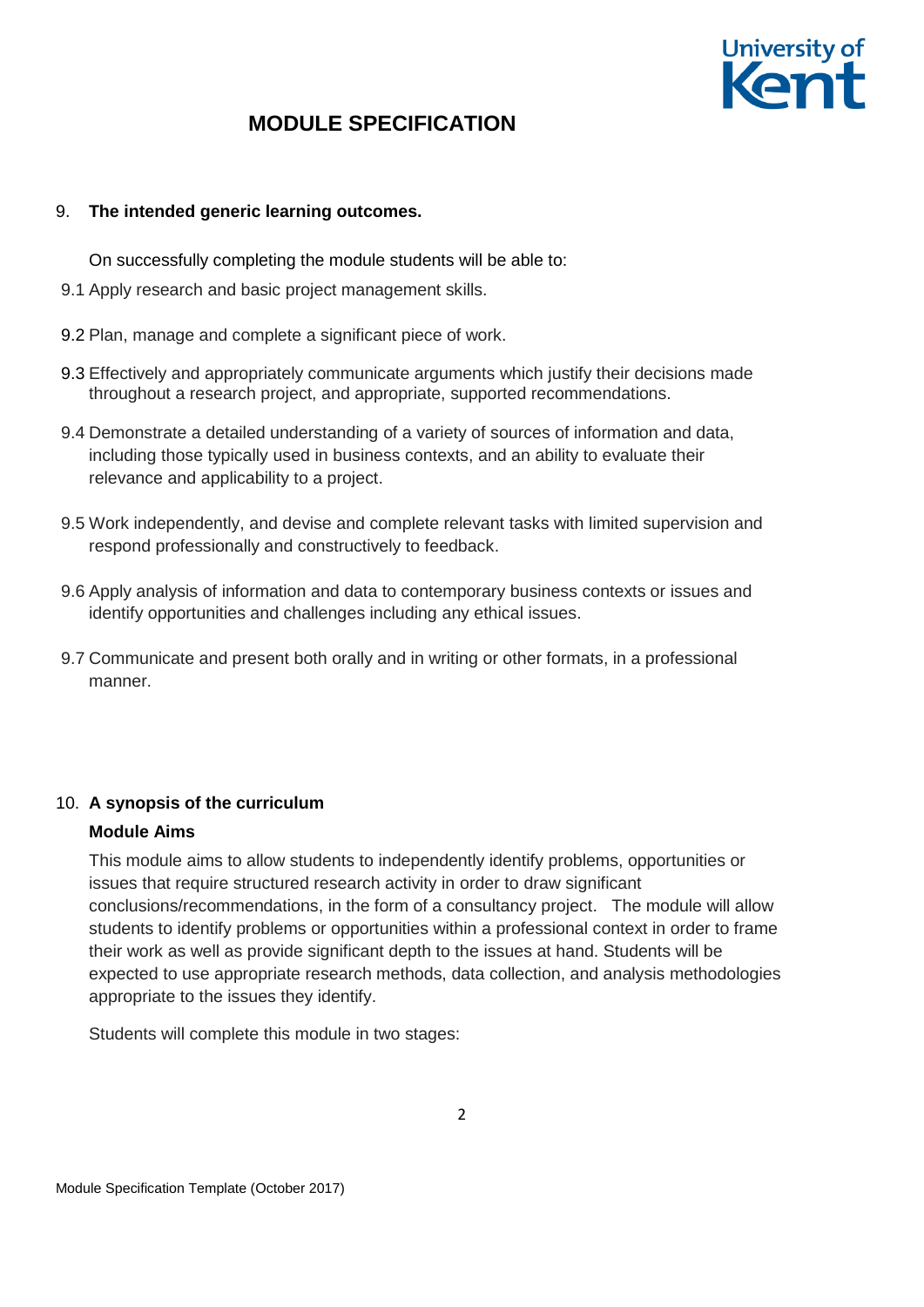

### 9. **The intended generic learning outcomes.**

On successfully completing the module students will be able to:

- 9.1 Apply research and basic project management skills.
- 9.2 Plan, manage and complete a significant piece of work.
- 9.3 Effectively and appropriately communicate arguments which justify their decisions made throughout a research project, and appropriate, supported recommendations.
- 9.4 Demonstrate a detailed understanding of a variety of sources of information and data, including those typically used in business contexts, and an ability to evaluate their relevance and applicability to a project.
- 9.5 Work independently, and devise and complete relevant tasks with limited supervision and respond professionally and constructively to feedback.
- 9.6 Apply analysis of information and data to contemporary business contexts or issues and identify opportunities and challenges including any ethical issues.
- 9.7 Communicate and present both orally and in writing or other formats, in a professional manner.

## 10. **A synopsis of the curriculum**

### **Module Aims**

This module aims to allow students to independently identify problems, opportunities or issues that require structured research activity in order to draw significant conclusions/recommendations, in the form of a consultancy project. The module will allow students to identify problems or opportunities within a professional context in order to frame their work as well as provide significant depth to the issues at hand. Students will be expected to use appropriate research methods, data collection, and analysis methodologies appropriate to the issues they identify.

Students will complete this module in two stages: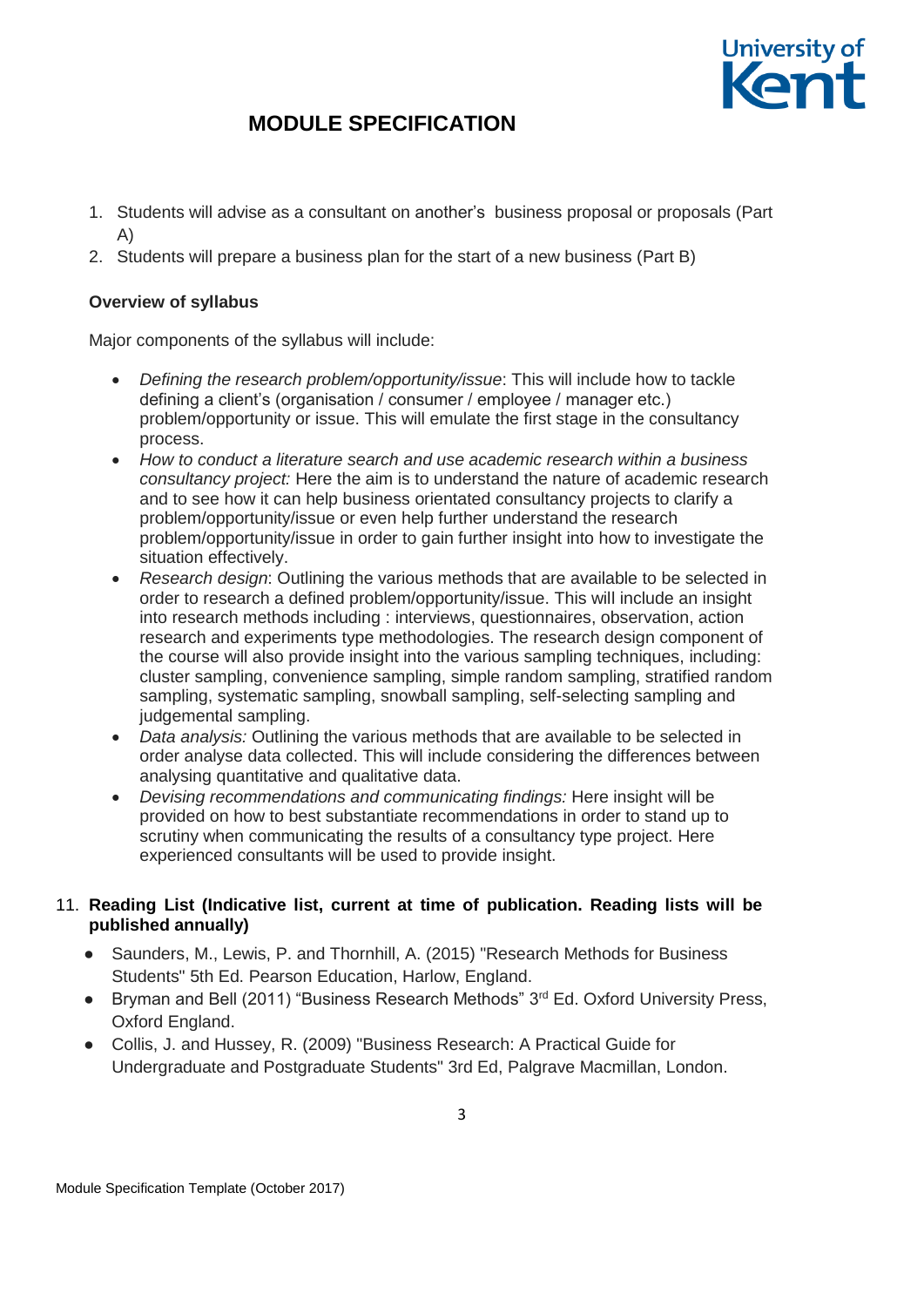

- 1. Students will advise as a consultant on another's business proposal or proposals (Part A)
- 2. Students will prepare a business plan for the start of a new business (Part B)

### **Overview of syllabus**

Major components of the syllabus will include:

- *Defining the research problem/opportunity/issue*: This will include how to tackle defining a client's (organisation / consumer / employee / manager etc.) problem/opportunity or issue. This will emulate the first stage in the consultancy process.
- *How to conduct a literature search and use academic research within a business consultancy project:* Here the aim is to understand the nature of academic research and to see how it can help business orientated consultancy projects to clarify a problem/opportunity/issue or even help further understand the research problem/opportunity/issue in order to gain further insight into how to investigate the situation effectively.
- *Research design*: Outlining the various methods that are available to be selected in order to research a defined problem/opportunity/issue. This will include an insight into research methods including : interviews, questionnaires, observation, action research and experiments type methodologies. The research design component of the course will also provide insight into the various sampling techniques, including: cluster sampling, convenience sampling, simple random sampling, stratified random sampling, systematic sampling, snowball sampling, self-selecting sampling and judgemental sampling.
- *Data analysis:* Outlining the various methods that are available to be selected in order analyse data collected. This will include considering the differences between analysing quantitative and qualitative data.
- *Devising recommendations and communicating findings:* Here insight will be provided on how to best substantiate recommendations in order to stand up to scrutiny when communicating the results of a consultancy type project. Here experienced consultants will be used to provide insight.

### 11. **Reading List (Indicative list, current at time of publication. Reading lists will be published annually)**

- Saunders, M., Lewis, P. and Thornhill, A. (2015) "Research Methods for Business Students" 5th Ed. Pearson Education, Harlow, England.
- Bryman and Bell (2011) "Business Research Methods" 3<sup>rd</sup> Ed. Oxford University Press, Oxford England.
- Collis, J. and Hussey, R. (2009) "Business Research: A Practical Guide for Undergraduate and Postgraduate Students" 3rd Ed, Palgrave Macmillan, London.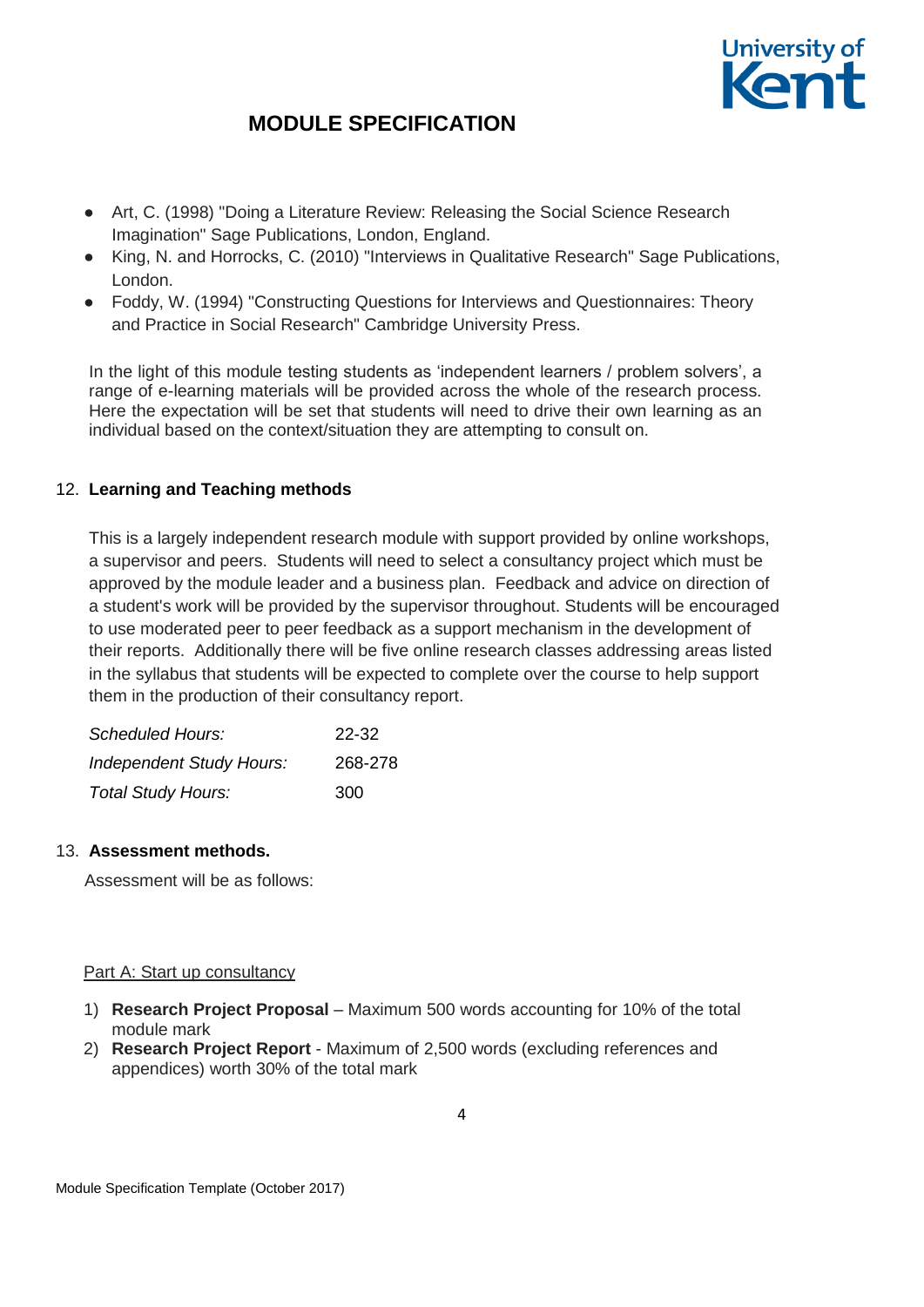

- Art, C. (1998) "Doing a Literature Review: Releasing the Social Science Research Imagination" Sage Publications, London, England.
- King, N. and Horrocks, C. (2010) "Interviews in Qualitative Research" Sage Publications, London.
- Foddy, W. (1994) "Constructing Questions for Interviews and Questionnaires: Theory and Practice in Social Research" Cambridge University Press.

In the light of this module testing students as 'independent learners / problem solvers', a range of e-learning materials will be provided across the whole of the research process. Here the expectation will be set that students will need to drive their own learning as an individual based on the context/situation they are attempting to consult on.

### 12. **Learning and Teaching methods**

This is a largely independent research module with support provided by online workshops, a supervisor and peers. Students will need to select a consultancy project which must be approved by the module leader and a business plan. Feedback and advice on direction of a student's work will be provided by the supervisor throughout. Students will be encouraged to use moderated peer to peer feedback as a support mechanism in the development of their reports. Additionally there will be five online research classes addressing areas listed in the syllabus that students will be expected to complete over the course to help support them in the production of their consultancy report.

| Scheduled Hours:                | 22-32   |  |  |  |  |
|---------------------------------|---------|--|--|--|--|
| <b>Independent Study Hours:</b> | 268-278 |  |  |  |  |
| <b>Total Study Hours:</b>       | 300     |  |  |  |  |

#### 13. **Assessment methods.**

Assessment will be as follows:

### Part A: Start up consultancy

- 1) **Research Project Proposal** Maximum 500 words accounting for 10% of the total module mark
- 2) **Research Project Report** Maximum of 2,500 words (excluding references and appendices) worth 30% of the total mark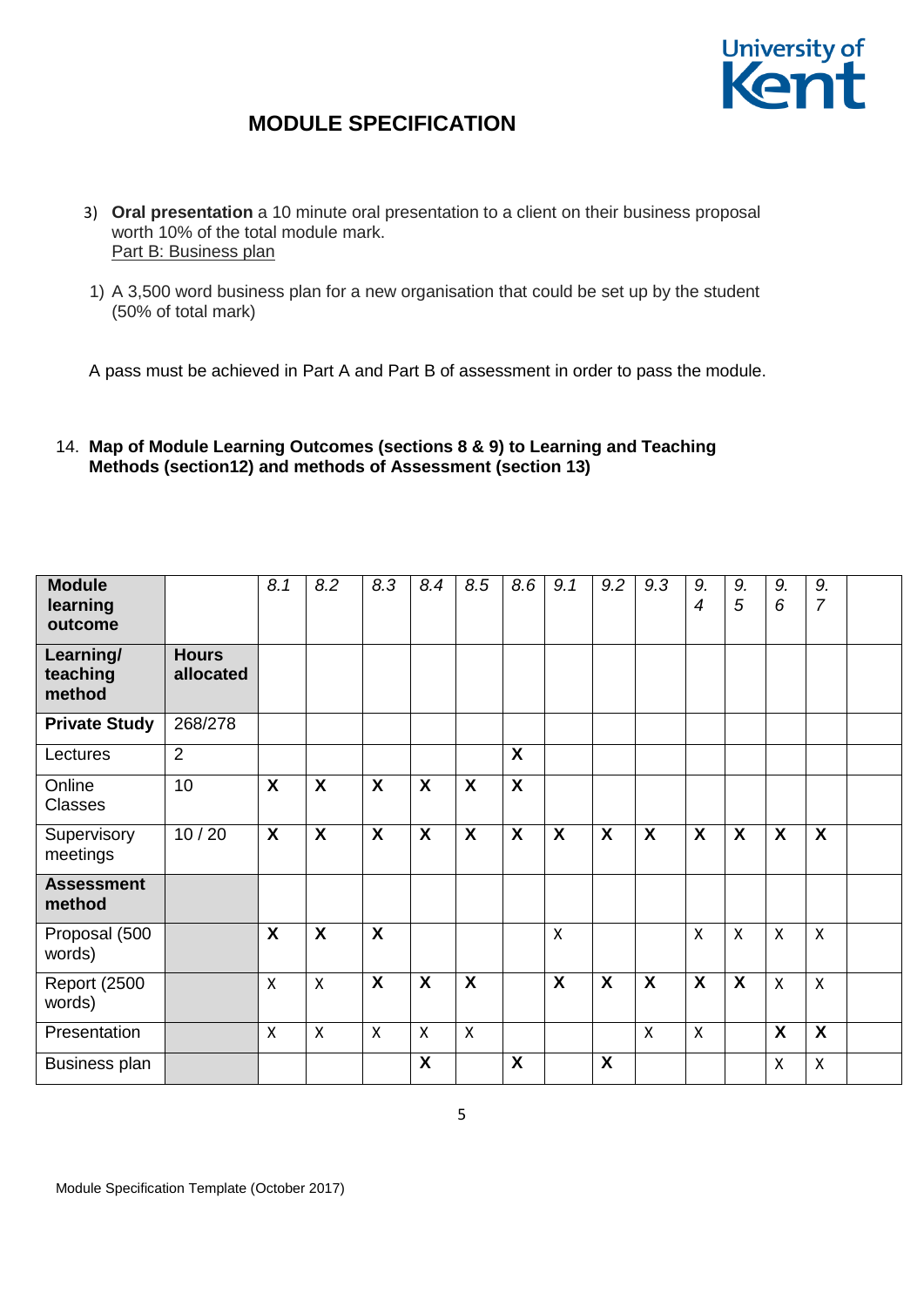

- 3) **Oral presentation** a 10 minute oral presentation to a client on their business proposal worth 10% of the total module mark. Part B: Business plan
- 1) A 3,500 word business plan for a new organisation that could be set up by the student (50% of total mark)

A pass must be achieved in Part A and Part B of assessment in order to pass the module.

14. **Map of Module Learning Outcomes (sections 8 & 9) to Learning and Teaching Methods (section12) and methods of Assessment (section 13)**

| <b>Module</b><br>learning<br>outcome |                           | 8.1                       | 8.2                       | 8.3                       | 8.4                       | 8.5                       | 8.6                       | 9.1              | 9.2 | 9.3          | 9.<br>$\overline{4}$      | 9.<br>5      | 9.<br>6                   | 9.<br>$\overline{7}$      |  |
|--------------------------------------|---------------------------|---------------------------|---------------------------|---------------------------|---------------------------|---------------------------|---------------------------|------------------|-----|--------------|---------------------------|--------------|---------------------------|---------------------------|--|
| Learning/<br>teaching<br>method      | <b>Hours</b><br>allocated |                           |                           |                           |                           |                           |                           |                  |     |              |                           |              |                           |                           |  |
| <b>Private Study</b>                 | 268/278                   |                           |                           |                           |                           |                           |                           |                  |     |              |                           |              |                           |                           |  |
| Lectures                             | $\overline{2}$            |                           |                           |                           |                           |                           | $\boldsymbol{\mathsf{X}}$ |                  |     |              |                           |              |                           |                           |  |
| Online<br><b>Classes</b>             | 10                        | $\boldsymbol{\mathsf{X}}$ | $\boldsymbol{\mathsf{X}}$ | $\boldsymbol{\mathsf{X}}$ | $\boldsymbol{\mathsf{X}}$ | $\boldsymbol{\mathsf{X}}$ | $\boldsymbol{\mathsf{X}}$ |                  |     |              |                           |              |                           |                           |  |
| Supervisory<br>meetings              | 10/20                     | X                         | $\boldsymbol{\mathsf{X}}$ | $\boldsymbol{\mathsf{X}}$ | $\boldsymbol{\mathsf{X}}$ | $\boldsymbol{\mathsf{X}}$ | $\boldsymbol{\mathsf{X}}$ | $\boldsymbol{X}$ | X   | $\mathsf{X}$ | $\boldsymbol{\mathsf{X}}$ | X            | $\boldsymbol{\mathsf{X}}$ | $\boldsymbol{\mathsf{X}}$ |  |
| <b>Assessment</b><br>method          |                           |                           |                           |                           |                           |                           |                           |                  |     |              |                           |              |                           |                           |  |
| Proposal (500<br>words)              |                           | X                         | $\boldsymbol{\mathsf{X}}$ | $\boldsymbol{\mathsf{X}}$ |                           |                           |                           | $\mathsf{X}$     |     |              | $\boldsymbol{\mathsf{X}}$ | $\mathsf{x}$ | $\boldsymbol{\mathsf{X}}$ | $\mathsf{x}$              |  |
| <b>Report (2500)</b><br>words)       |                           | X                         | $\mathsf{x}$              | X                         | X                         | X                         |                           | X                | X   | X            | X                         | X            | $\boldsymbol{\mathsf{X}}$ | $\mathsf{X}$              |  |
| Presentation                         |                           | X                         | $\boldsymbol{\mathsf{X}}$ | $\pmb{\mathsf{X}}$        | X                         | $\boldsymbol{\mathsf{X}}$ |                           |                  |     | $\mathsf{x}$ | $\mathsf{X}$              |              | $\boldsymbol{\mathsf{X}}$ | $\boldsymbol{\mathsf{X}}$ |  |
| Business plan                        |                           |                           |                           |                           | X                         |                           | X                         |                  | X   |              |                           |              | $\boldsymbol{\mathsf{X}}$ | $\boldsymbol{\mathsf{X}}$ |  |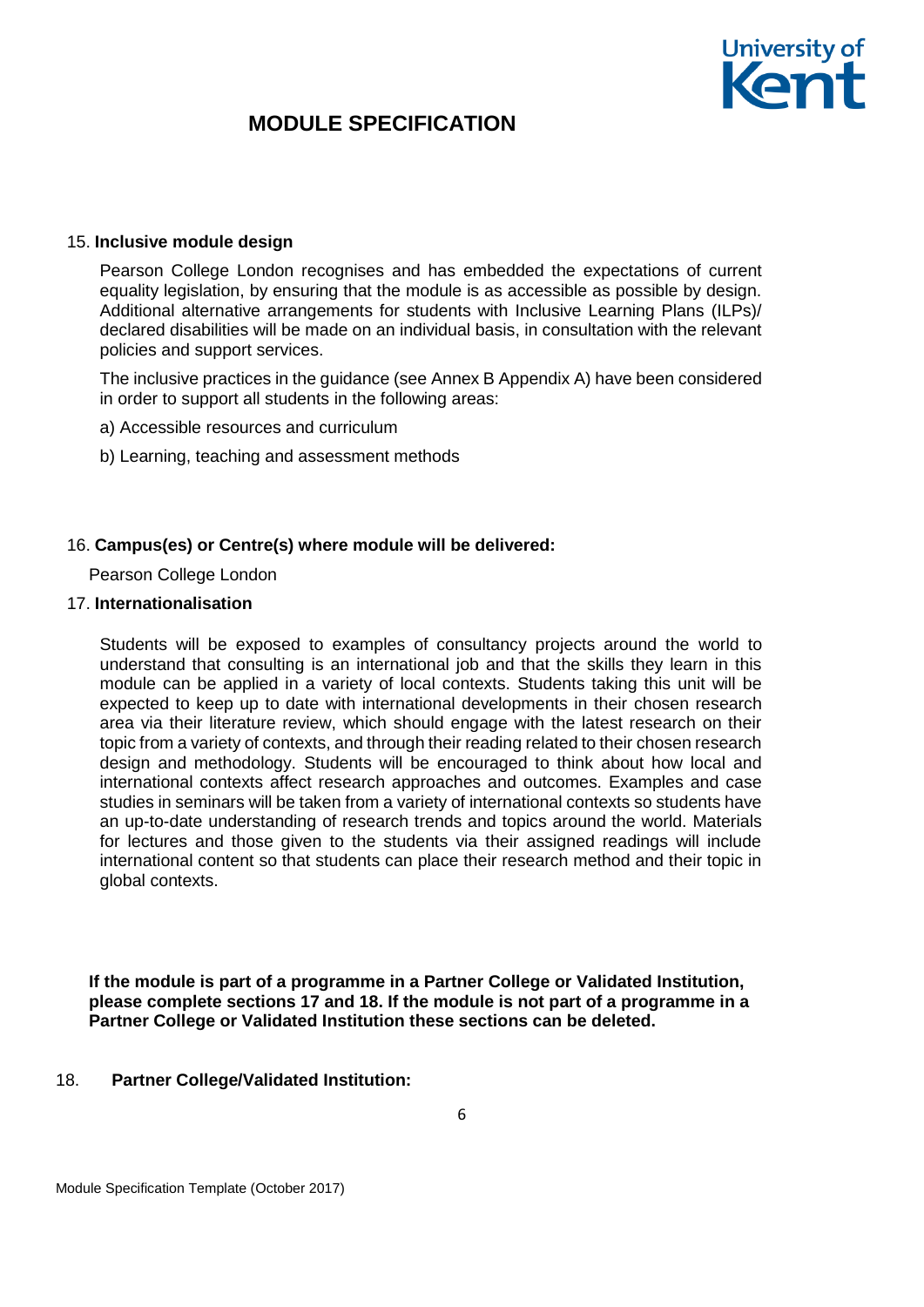#### 15. **Inclusive module design**

Pearson College London recognises and has embedded the expectations of current equality legislation, by ensuring that the module is as accessible as possible by design. Additional alternative arrangements for students with Inclusive Learning Plans (ILPs)/ declared disabilities will be made on an individual basis, in consultation with the relevant policies and support services.

The inclusive practices in the guidance (see Annex B Appendix A) have been considered in order to support all students in the following areas:

a) Accessible resources and curriculum

b) Learning, teaching and assessment methods

#### 16. **Campus(es) or Centre(s) where module will be delivered:**

Pearson College London

### 17. **Internationalisation**

Students will be exposed to examples of consultancy projects around the world to understand that consulting is an international job and that the skills they learn in this module can be applied in a variety of local contexts. Students taking this unit will be expected to keep up to date with international developments in their chosen research area via their literature review, which should engage with the latest research on their topic from a variety of contexts, and through their reading related to their chosen research design and methodology. Students will be encouraged to think about how local and international contexts affect research approaches and outcomes. Examples and case studies in seminars will be taken from a variety of international contexts so students have an up-to-date understanding of research trends and topics around the world. Materials for lectures and those given to the students via their assigned readings will include international content so that students can place their research method and their topic in global contexts.

**If the module is part of a programme in a Partner College or Validated Institution, please complete sections 17 and 18. If the module is not part of a programme in a Partner College or Validated Institution these sections can be deleted.**

#### 18. **Partner College/Validated Institution:**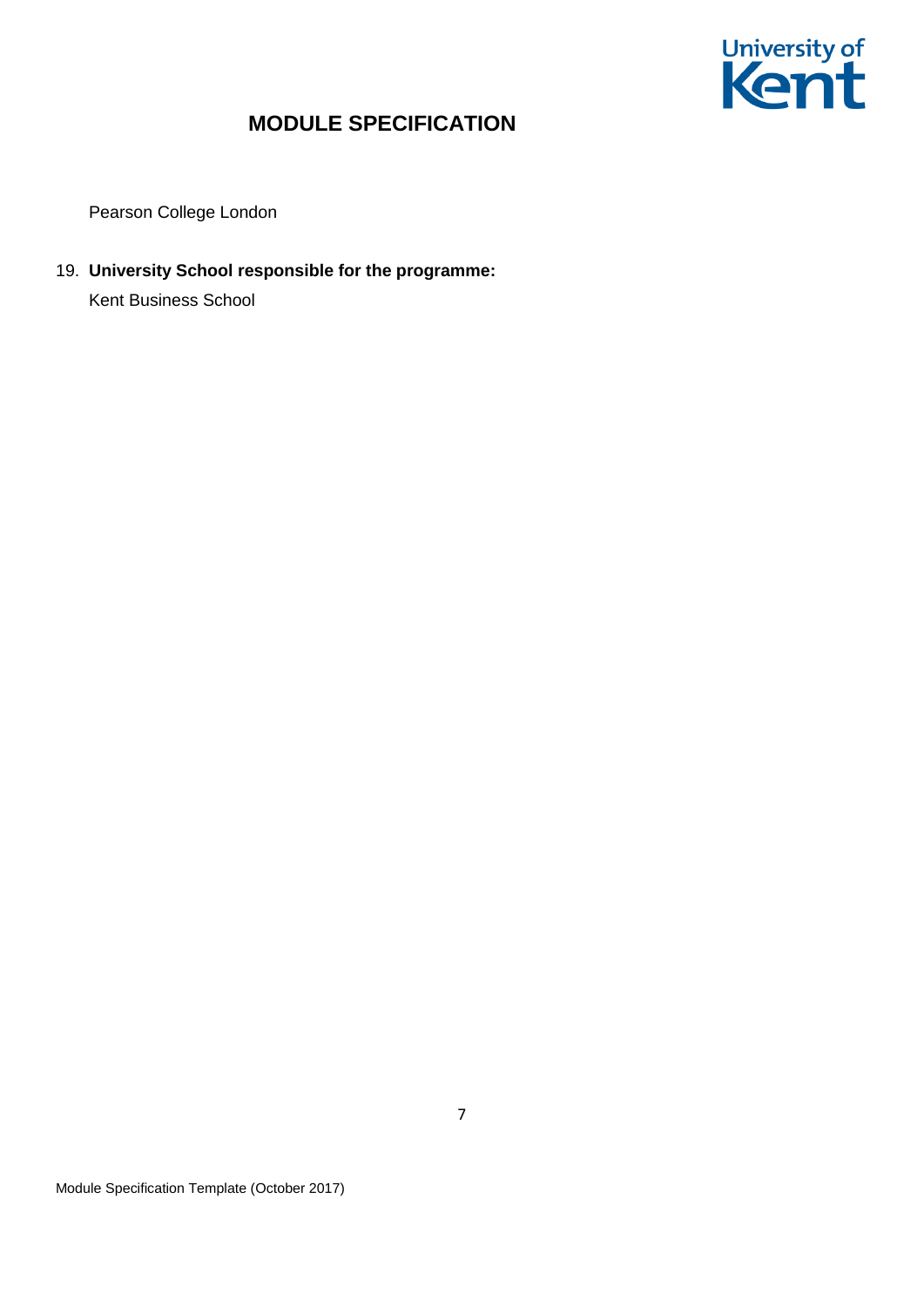

Pearson College London

19. **University School responsible for the programme:**

Kent Business School